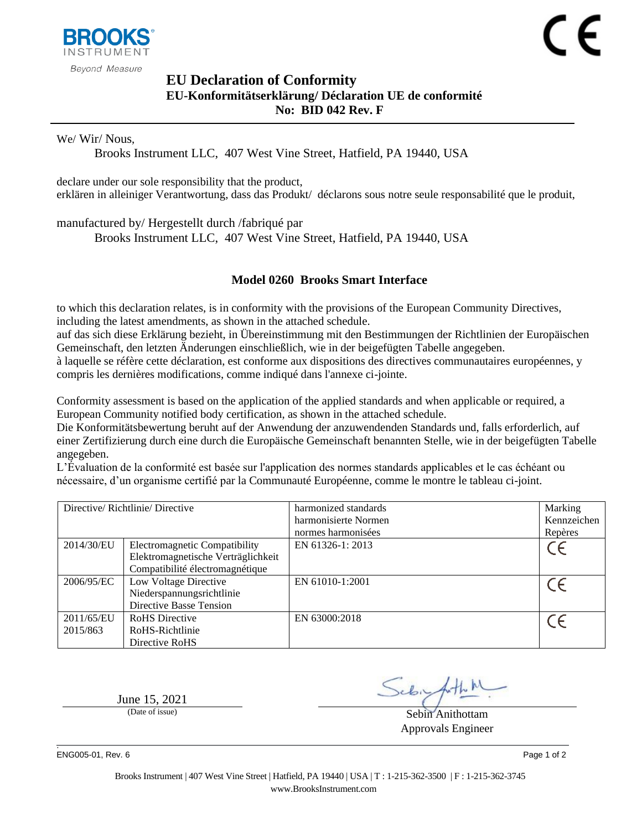

## <span id="page-0-1"></span><span id="page-0-0"></span>**EU Declaration of Conformity EU-Konformitätserklärung/ Déclaration UE de conformité No: BID 042 Rev. F**

We/ Wir/ Nous,

Brooks Instrument LLC, 407 West Vine Street, Hatfield, PA 19440, USA

declare under our sole responsibility that the product, erklären in alleiniger Verantwortung, dass das Produkt/ déclarons sous notre seule responsabilité que le produit,

manufactured by/ Hergestellt durch /fabriqué par

Brooks Instrument LLC, 407 West Vine Street, Hatfield, PA 19440, USA

## <span id="page-0-2"></span>**Model 0260 Brooks Smart Interface**

to which this declaration relates, is in conformity with the provisions of the European Community Directives, including the latest amendments, as shown in the attached schedule.

auf das sich diese Erklärung bezieht, in Übereinstimmung mit den Bestimmungen der Richtlinien der Europäischen Gemeinschaft, den letzten Änderungen einschließlich, wie in der beigefügten Tabelle angegeben.

à laquelle se réfère cette déclaration, est conforme aux dispositions des directives communautaires européennes, y compris les dernières modifications, comme indiqué dans l'annexe ci-jointe.

Conformity assessment is based on the application of the applied standards and when applicable or required, a European Community notified body certification, as shown in the attached schedule.

Die Konformitätsbewertung beruht auf der Anwendung der anzuwendenden Standards und, falls erforderlich, auf einer Zertifizierung durch eine durch die Europäische Gemeinschaft benannten Stelle, wie in der beigefügten Tabelle angegeben.

L'Évaluation de la conformité est basée sur l'application des normes standards applicables et le cas échéant ou nécessaire, d'un organisme certifié par la Communauté Européenne, comme le montre le tableau ci-joint.

|                        | Directive/Richtlinie/Directive                                                                         | harmonized standards<br>harmonisierte Normen<br>normes harmonisées | Marking<br>Kennzeichen<br>Repères |
|------------------------|--------------------------------------------------------------------------------------------------------|--------------------------------------------------------------------|-----------------------------------|
| 2014/30/EU             | Electromagnetic Compatibility<br>Elektromagnetische Verträglichkeit<br>Compatibilité électromagnétique | EN 61326-1: 2013                                                   |                                   |
| 2006/95/EC             | Low Voltage Directive<br>Niederspannungsrichtlinie<br>Directive Basse Tension                          | EN 61010-1:2001                                                    |                                   |
| 2011/65/EU<br>2015/863 | <b>RoHS</b> Directive<br>RoHS-Richtlinie<br>Directive RoHS                                             | EN 63000:2018                                                      |                                   |

June  $15, 2021$ <br>(Date of issue)

Sebin Anithottam Approvals Engineer

. ENG005-01, Rev. 6 Page 1 of 2